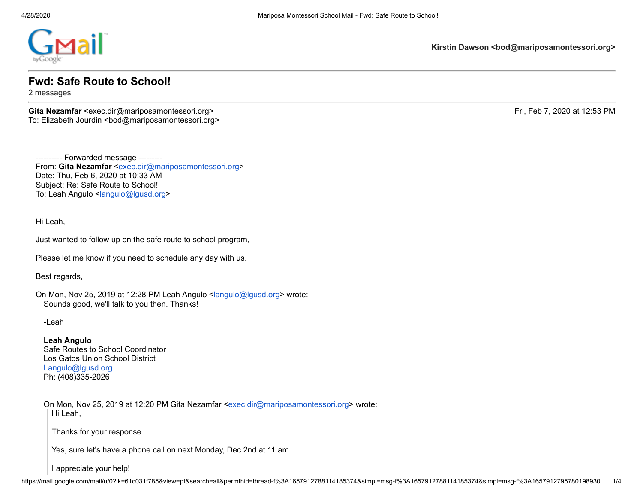

**Kirstin Dawson <bod@mariposamontessori.org>**

## **Fwd: Safe Route to School!**

2 messages

**Gita Nezamfar <exec.dir@mariposamontessori.org>** Fri, Feb 7, 2020 at 12:53 PM To: Elizabeth Jourdin <bod@mariposamontessori.org>

---------- Forwarded message --------- From: **Gita Nezamfar** [<exec.dir@mariposamontessori.org](mailto:exec.dir@mariposamontessori.org)> Date: Thu, Feb 6, 2020 at 10:33 AM Subject: Re: Safe Route to School! To: Leah Angulo <[langulo@lgusd.org](mailto:langulo@lgusd.org)>

Hi Leah,

Just wanted to follow up on the safe route to school program,

Please let me know if you need to schedule any day with us.

Best regards,

On Mon, Nov 25, 2019 at 12:28 PM Leah Angulo [<langulo@lgusd.org>](mailto:langulo@lgusd.org) wrote: Sounds good, we'll talk to you then. Thanks!

-Leah

**Leah Angulo** Safe Routes to School Coordinator Los Gatos Union School District [Langulo@lgusd.org](mailto:Langulo@lgusd.org) Ph: (408)335-2026

On Mon, Nov 25, 2019 at 12:20 PM Gita Nezamfar <[exec.dir@mariposamontessori.org>](mailto:exec.dir@mariposamontessori.org) wrote: Hi Leah,

Thanks for your response.

Yes, sure let's have a phone call on next Monday, Dec 2nd at 11 am.

I appreciate your help!

https://mail.google.com/mail/u/0?ik=61c031f785&view=pt&search=all&permthid=thread-f%3A1657912788114185374&simpl=msg-f%3A1657912788114185374&simpl=msg-f%3A1657912788114185374&simpl=msg-f%3A1657912788114185374&simpl=msg-f%3A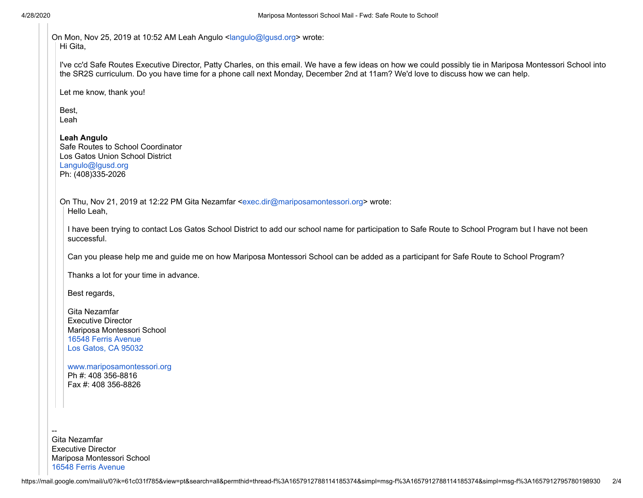On Mon, Nov 25, 2019 at 10:52 AM Leah Angulo <[langulo@lgusd.org](mailto:langulo@lgusd.org)> wrote: Hi Gita,

I've cc'd Safe Routes Executive Director, Patty Charles, on this email. We have a few ideas on how we could possibly tie in Mariposa Montessori School into the SR2S curriculum. Do you have time for a phone call next Monday, December 2nd at 11am? We'd love to discuss how we can help.

Let me know, thank you!

Best, Leah

**Leah Angulo** Safe Routes to School Coordinator Los Gatos Union School District [Langulo@lgusd.org](mailto:Langulo@lgusd.org) Ph: (408)335-2026

On Thu, Nov 21, 2019 at 12:22 PM Gita Nezamfar <[exec.dir@mariposamontessori.org>](mailto:exec.dir@mariposamontessori.org) wrote: Hello Leah,

I have been trying to contact Los Gatos School District to add our school name for participation to Safe Route to School Program but I have not been successful.

Can you please help me and guide me on how Mariposa Montessori School can be added as a participant for Safe Route to School Program?

Thanks a lot for your time in advance.

Best regards,

Gita Nezamfar Executive Director Mariposa Montessori School [16548 Ferris Avenue](https://www.google.com/maps/search/16548+Ferris+Avenue+Los+Gatos,+CA+95032?entry=gmail&source=g) [Los Gatos, CA 95032](https://www.google.com/maps/search/16548+Ferris+Avenue+Los+Gatos,+CA+95032?entry=gmail&source=g)

[www.mariposamontessori.org](http://www.mariposamontessori.org/) Ph #: 408 356-8816 Fax #: 408 356-8826

-- Gita Nezamfar Executive Director Mariposa Montessori School [16548 Ferris Avenue](https://www.google.com/maps/search/16548+Ferris+Avenue+Los+Gatos,+CA+95032?entry=gmail&source=g)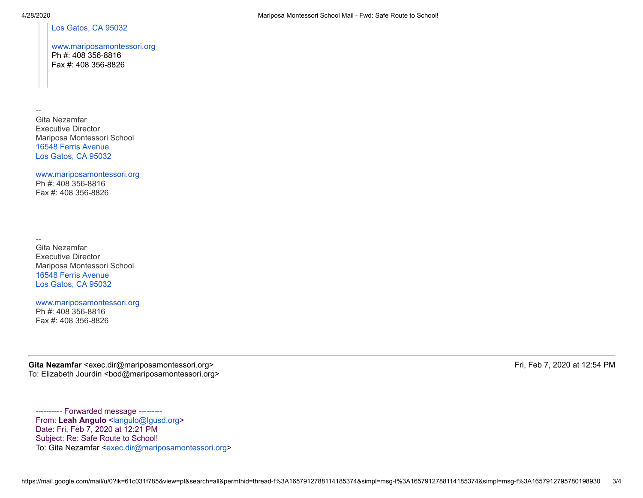[Los Gatos, CA 95032](https://www.google.com/maps/search/16548+Ferris+Avenue+Los+Gatos,+CA+95032?entry=gmail&source=g)

## [www.mariposamontessori.org](http://www.mariposamontessori.org/) Ph #: 408 356-8816 Fax #: 408 356-8826

-- Gita Nezamfar Executive Director Mariposa Montessori School [16548 Ferris Avenue](https://www.google.com/maps/search/16548+Ferris+Avenue+Los+Gatos,+CA+95032?entry=gmail&source=g) [Los Gatos, CA 95032](https://www.google.com/maps/search/16548+Ferris+Avenue+Los+Gatos,+CA+95032?entry=gmail&source=g)

[www.mariposamontessori.org](http://www.mariposamontessori.org/) Ph #: 408 356-8816 Fax #: 408 356-8826

-- Gita Nezamfar Executive Director Mariposa Montessori School [16548 Ferris Avenue](https://www.google.com/maps/search/16548+Ferris+Avenue+Los+Gatos,+CA+95032?entry=gmail&source=g) [Los Gatos, CA 95032](https://www.google.com/maps/search/16548+Ferris+Avenue+Los+Gatos,+CA+95032?entry=gmail&source=g)

[www.mariposamontessori.org](http://www.mariposamontessori.org/) Ph #: 408 356-8816 Fax #: 408 356-8826

Gita Nezamfar <exec.dir@mariposamontessori.org>
Fri, Feb 7, 2020 at 12:54 PM To: Elizabeth Jourdin <bod@mariposamontessori.org>

---------- Forwarded message --------- From: Leah Angulo [<langulo@lgusd.org](mailto:langulo@lgusd.org)> Date: Fri, Feb 7, 2020 at 12:21 PM Subject: Re: Safe Route to School! To: Gita Nezamfar <[exec.dir@mariposamontessori.org>](mailto:exec.dir@mariposamontessori.org)